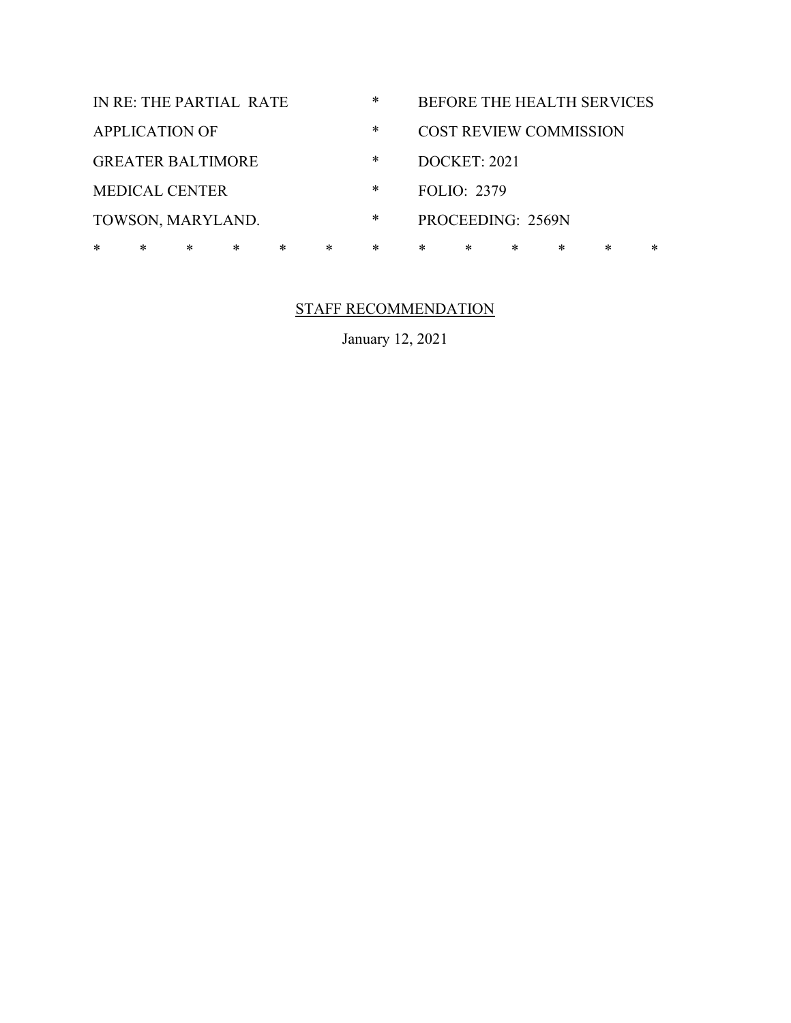| IN RE: THE PARTIAL RATE |                          |   |        |        |        | $\ast$ | BEFORE THE HEALTH SERVICES    |        |  |   |        |   |
|-------------------------|--------------------------|---|--------|--------|--------|--------|-------------------------------|--------|--|---|--------|---|
| <b>APPLICATION OF</b>   |                          |   |        |        |        | ∗      | <b>COST REVIEW COMMISSION</b> |        |  |   |        |   |
|                         | <b>GREATER BALTIMORE</b> |   |        |        |        | *      | <b>DOCKET: 2021</b>           |        |  |   |        |   |
| <b>MEDICAL CENTER</b>   |                          |   |        |        |        | *      | <b>FOLIO: 2379</b>            |        |  |   |        |   |
| TOWSON, MARYLAND.       |                          |   |        |        |        | *      | PROCEEDING: 2569N             |        |  |   |        |   |
| $\ast$                  | $\ast$                   | * | $\ast$ | $\ast$ | $\ast$ | $\ast$ | $\ast$                        | $\ast$ |  | * | $\ast$ | * |
|                         |                          |   |        |        |        |        |                               |        |  |   |        |   |

## STAFF RECOMMENDATION

January 12, 2021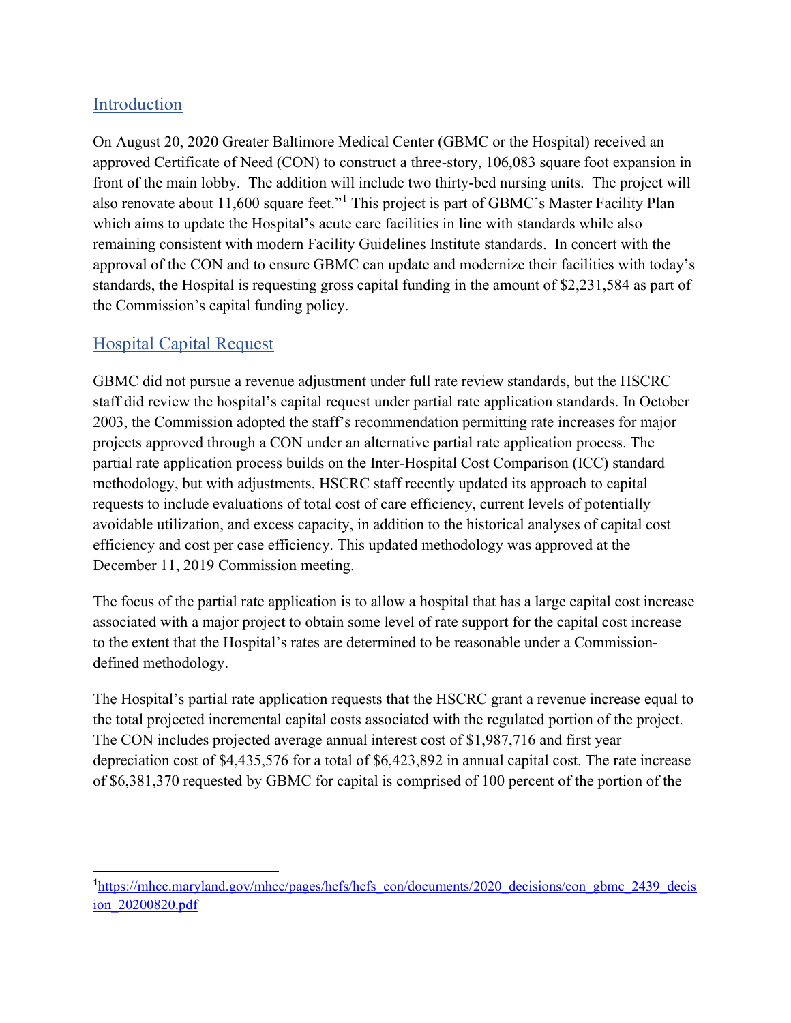## Introduction

On August 20, 2020 Greater Baltimore Medical Center (GBMC or the Hospital) received an approved Certificate of Need (CON) to construct a three-story, 106,083 square foot expansion in front of the main lobby. The addition will include two thirty-bed nursing units. The project will also renovate about 11,600 square feet."<sup>1</sup> This project is part of GBMC's Master Facility Plan which aims to update the Hospital's acute care facilities in line with standards while also remaining consistent with modern Facility Guidelines Institute standards. In concert with the approval of the CON and to ensure GBMC can update and modernize their facilities with today's standards, the Hospital is requesting gross capital funding in the amount of \$2,231,584 as part of the Commission's capital funding policy.

## Hospital Capital Request

GBMC did not pursue a revenue adjustment under full rate review standards, but the HSCRC staff did review the hospital's capital request under partial rate application standards. In October 2003, the Commission adopted the staff's recommendation permitting rate increases for major projects approved through a CON under an alternative partial rate application process. The partial rate application process builds on the Inter-Hospital Cost Comparison (ICC) standard methodology, but with adjustments. HSCRC staff recently updated its approach to capital requests to include evaluations of total cost of care efficiency, current levels of potentially avoidable utilization, and excess capacity, in addition to the historical analyses of capital cost efficiency and cost per case efficiency. This updated methodology was approved at the December 11, 2019 Commission meeting.

The focus of the partial rate application is to allow a hospital that has a large capital cost increase associated with a major project to obtain some level of rate support for the capital cost increase to the extent that the Hospital's rates are determined to be reasonable under a Commissiondefined methodology.

The Hospital's partial rate application requests that the HSCRC grant a revenue increase equal to the total projected incremental capital costs associated with the regulated portion of the project. The CON includes projected average annual interest cost of \$1,987,716 and first year depreciation cost of \$4,435,576 for a total of \$6,423,892 in annual capital cost. The rate increase of \$6,381,370 requested by GBMC for capital is comprised of 100 percent of the portion of the

<sup>&</sup>lt;sup>1</sup>https://mhcc.maryland.gov/mhcc/pages/hcfs/hcfs\_con/documents/2020\_decisions/con\_gbmc\_2439\_decis ion\_20200820.pdf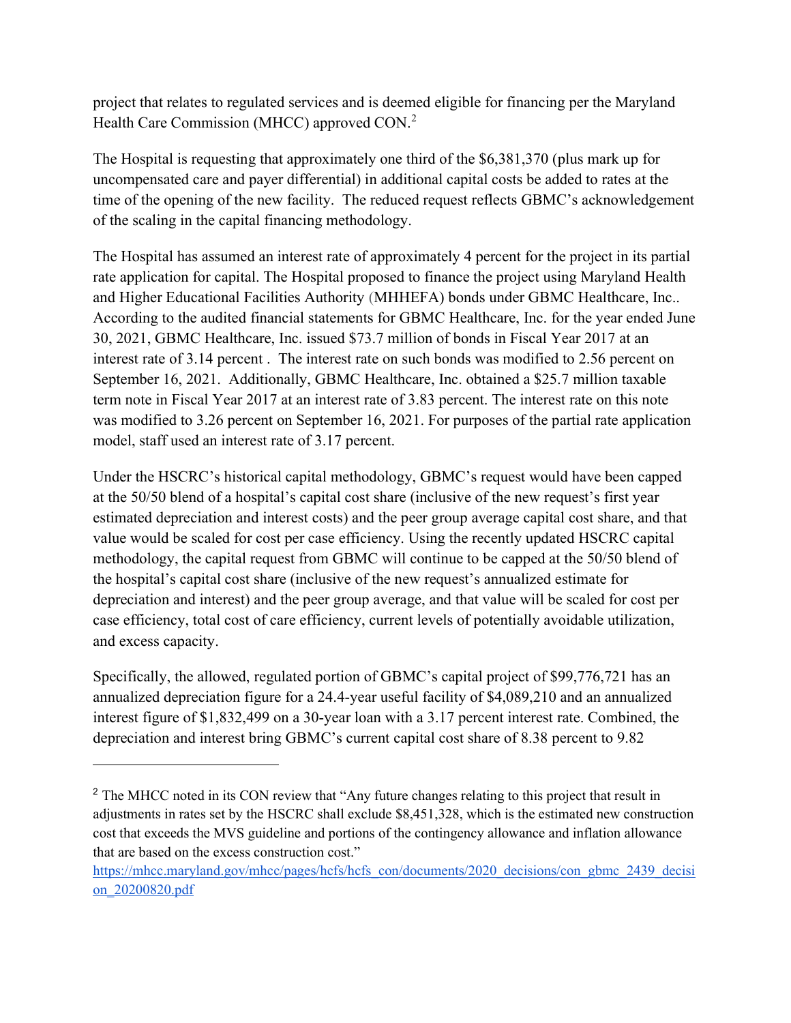project that relates to regulated services and is deemed eligible for financing per the Maryland Health Care Commission (MHCC) approved CON.<sup>2</sup>

The Hospital is requesting that approximately one third of the \$6,381,370 (plus mark up for uncompensated care and payer differential) in additional capital costs be added to rates at the time of the opening of the new facility. The reduced request reflects GBMC's acknowledgement of the scaling in the capital financing methodology.

The Hospital has assumed an interest rate of approximately 4 percent for the project in its partial rate application for capital. The Hospital proposed to finance the project using Maryland Health and Higher Educational Facilities Authority (MHHEFA) bonds under GBMC Healthcare, Inc.. According to the audited financial statements for GBMC Healthcare, Inc. for the year ended June 30, 2021, GBMC Healthcare, Inc. issued \$73.7 million of bonds in Fiscal Year 2017 at an interest rate of 3.14 percent . The interest rate on such bonds was modified to 2.56 percent on September 16, 2021. Additionally, GBMC Healthcare, Inc. obtained a \$25.7 million taxable term note in Fiscal Year 2017 at an interest rate of 3.83 percent. The interest rate on this note was modified to 3.26 percent on September 16, 2021. For purposes of the partial rate application model, staff used an interest rate of 3.17 percent.

Under the HSCRC's historical capital methodology, GBMC's request would have been capped at the 50/50 blend of a hospital's capital cost share (inclusive of the new request's first year estimated depreciation and interest costs) and the peer group average capital cost share, and that value would be scaled for cost per case efficiency. Using the recently updated HSCRC capital methodology, the capital request from GBMC will continue to be capped at the 50/50 blend of the hospital's capital cost share (inclusive of the new request's annualized estimate for depreciation and interest) and the peer group average, and that value will be scaled for cost per case efficiency, total cost of care efficiency, current levels of potentially avoidable utilization, and excess capacity.

Specifically, the allowed, regulated portion of GBMC's capital project of \$99,776,721 has an annualized depreciation figure for a 24.4-year useful facility of \$4,089,210 and an annualized interest figure of \$1,832,499 on a 30-year loan with a 3.17 percent interest rate. Combined, the depreciation and interest bring GBMC's current capital cost share of 8.38 percent to 9.82

<sup>&</sup>lt;sup>2</sup> The MHCC noted in its CON review that "Any future changes relating to this project that result in adjustments in rates set by the HSCRC shall exclude \$8,451,328, which is the estimated new construction cost that exceeds the MVS guideline and portions of the contingency allowance and inflation allowance that are based on the excess construction cost."

https://mhcc.maryland.gov/mhcc/pages/hcfs/hcfs\_con/documents/2020\_decisions/con\_gbmc\_2439\_decisi on\_20200820.pdf